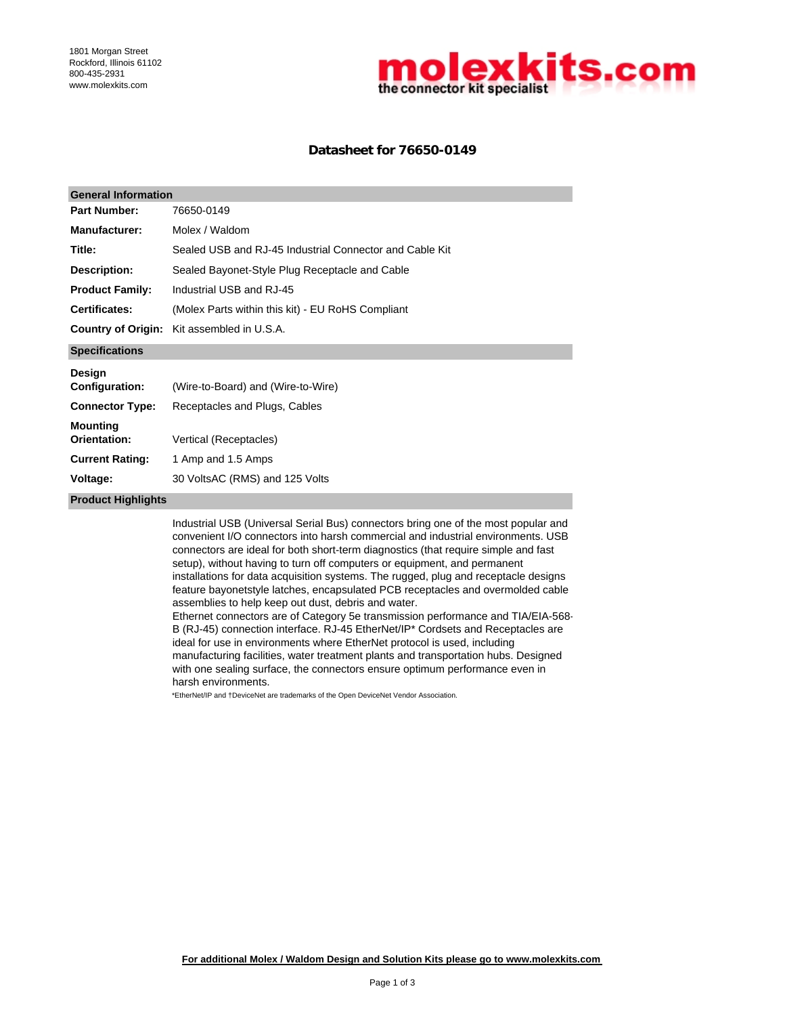

## **Datasheet for 76650-0149**

| <b>General Information</b>      |                                                                                                                                                                                                                                                                                                                                                                                                                                                                                                                                                                                                                                                                                                                                                                                                                                                                                                                    |  |  |  |
|---------------------------------|--------------------------------------------------------------------------------------------------------------------------------------------------------------------------------------------------------------------------------------------------------------------------------------------------------------------------------------------------------------------------------------------------------------------------------------------------------------------------------------------------------------------------------------------------------------------------------------------------------------------------------------------------------------------------------------------------------------------------------------------------------------------------------------------------------------------------------------------------------------------------------------------------------------------|--|--|--|
| <b>Part Number:</b>             | 76650-0149                                                                                                                                                                                                                                                                                                                                                                                                                                                                                                                                                                                                                                                                                                                                                                                                                                                                                                         |  |  |  |
| <b>Manufacturer:</b>            | Molex / Waldom                                                                                                                                                                                                                                                                                                                                                                                                                                                                                                                                                                                                                                                                                                                                                                                                                                                                                                     |  |  |  |
| Title:                          | Sealed USB and RJ-45 Industrial Connector and Cable Kit                                                                                                                                                                                                                                                                                                                                                                                                                                                                                                                                                                                                                                                                                                                                                                                                                                                            |  |  |  |
| <b>Description:</b>             | Sealed Bayonet-Style Plug Receptacle and Cable                                                                                                                                                                                                                                                                                                                                                                                                                                                                                                                                                                                                                                                                                                                                                                                                                                                                     |  |  |  |
| <b>Product Family:</b>          | Industrial USB and RJ-45                                                                                                                                                                                                                                                                                                                                                                                                                                                                                                                                                                                                                                                                                                                                                                                                                                                                                           |  |  |  |
| Certificates:                   | (Molex Parts within this kit) - EU RoHS Compliant                                                                                                                                                                                                                                                                                                                                                                                                                                                                                                                                                                                                                                                                                                                                                                                                                                                                  |  |  |  |
| <b>Country of Origin:</b>       | Kit assembled in U.S.A.                                                                                                                                                                                                                                                                                                                                                                                                                                                                                                                                                                                                                                                                                                                                                                                                                                                                                            |  |  |  |
| <b>Specifications</b>           |                                                                                                                                                                                                                                                                                                                                                                                                                                                                                                                                                                                                                                                                                                                                                                                                                                                                                                                    |  |  |  |
| Design<br>Configuration:        | (Wire-to-Board) and (Wire-to-Wire)                                                                                                                                                                                                                                                                                                                                                                                                                                                                                                                                                                                                                                                                                                                                                                                                                                                                                 |  |  |  |
| <b>Connector Type:</b>          | Receptacles and Plugs, Cables                                                                                                                                                                                                                                                                                                                                                                                                                                                                                                                                                                                                                                                                                                                                                                                                                                                                                      |  |  |  |
| <b>Mounting</b><br>Orientation: | Vertical (Receptacles)                                                                                                                                                                                                                                                                                                                                                                                                                                                                                                                                                                                                                                                                                                                                                                                                                                                                                             |  |  |  |
| <b>Current Rating:</b>          | 1 Amp and 1.5 Amps                                                                                                                                                                                                                                                                                                                                                                                                                                                                                                                                                                                                                                                                                                                                                                                                                                                                                                 |  |  |  |
| Voltage:                        | 30 VoltsAC (RMS) and 125 Volts                                                                                                                                                                                                                                                                                                                                                                                                                                                                                                                                                                                                                                                                                                                                                                                                                                                                                     |  |  |  |
| <b>Product Highlights</b>       |                                                                                                                                                                                                                                                                                                                                                                                                                                                                                                                                                                                                                                                                                                                                                                                                                                                                                                                    |  |  |  |
|                                 | Industrial USB (Universal Serial Bus) connectors bring one of the most popular and<br>convenient I/O connectors into harsh commercial and industrial environments. USB<br>connectors are ideal for both short-term diagnostics (that require simple and fast<br>setup), without having to turn off computers or equipment, and permanent<br>installations for data acquisition systems. The rugged, plug and receptacle designs<br>feature bayonetstyle latches, encapsulated PCB receptacles and overmolded cable<br>assemblies to help keep out dust, debris and water.<br>Ethernet connectors are of Category 5e transmission performance and TIA/EIA-568-<br>B (RJ-45) connection interface. RJ-45 EtherNet/IP* Cordsets and Receptacles are<br>ideal for use in environments where EtherNet protocol is used, including<br>manufacturing facilities, water treatment plants and transportation hubs. Designed |  |  |  |

manufacturing facilities, water treatment plants and transportation hubs. Designed with one sealing surface, the connectors ensure optimum performance even in harsh environments.

\*EtherNet/IP and †DeviceNet are trademarks of the Open DeviceNet Vendor Association.

**For additional Molex / Waldom Design and Solution Kits please go to www.molexkits.com**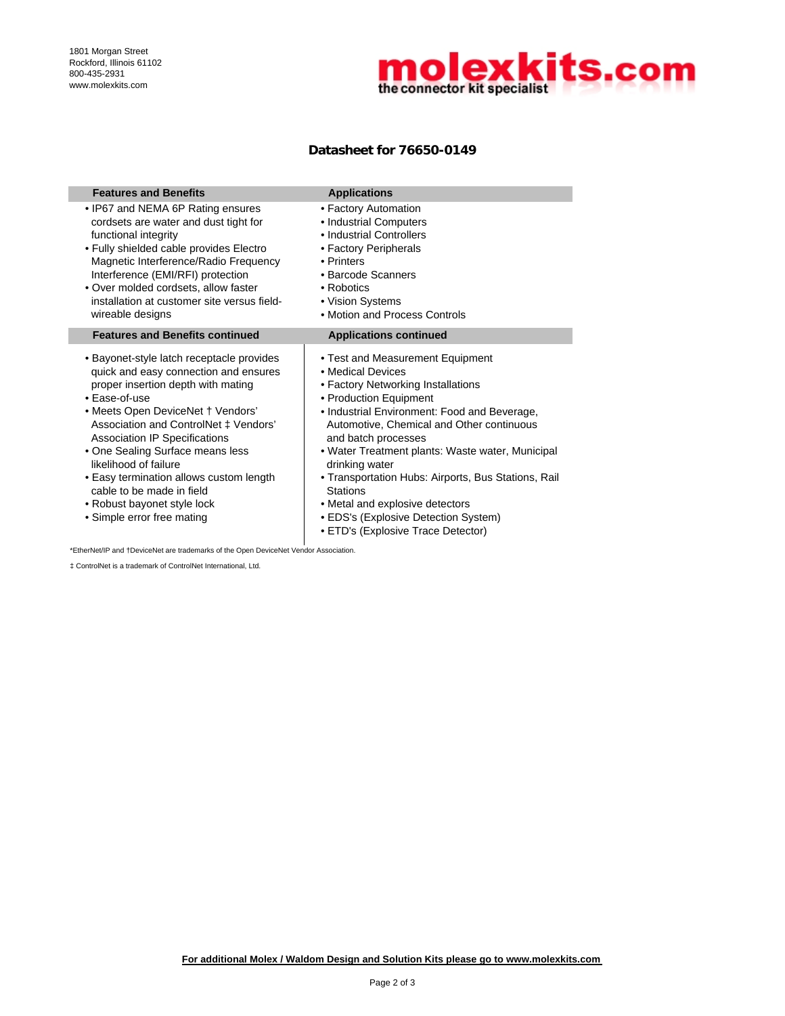

## **Datasheet for 76650-0149**

| <b>Features and Benefits</b>                                                                                                                                                                                                                                                                                                                                                                                                                                      | <b>Applications</b>                                                                                                                                                                                                                                                                                                                                                                                                                                                                                        |
|-------------------------------------------------------------------------------------------------------------------------------------------------------------------------------------------------------------------------------------------------------------------------------------------------------------------------------------------------------------------------------------------------------------------------------------------------------------------|------------------------------------------------------------------------------------------------------------------------------------------------------------------------------------------------------------------------------------------------------------------------------------------------------------------------------------------------------------------------------------------------------------------------------------------------------------------------------------------------------------|
| • IP67 and NEMA 6P Rating ensures<br>cordsets are water and dust tight for<br>functional integrity<br>• Fully shielded cable provides Electro<br>Magnetic Interference/Radio Frequency<br>Interference (EMI/RFI) protection<br>• Over molded cordsets, allow faster<br>installation at customer site versus field-<br>wireable designs                                                                                                                            | • Factory Automation<br>• Industrial Computers<br>• Industrial Controllers<br>• Factory Peripherals<br>• Printers<br>• Barcode Scanners<br>• Robotics<br>• Vision Systems<br>• Motion and Process Controls                                                                                                                                                                                                                                                                                                 |
| <b>Features and Benefits continued</b>                                                                                                                                                                                                                                                                                                                                                                                                                            | <b>Applications continued</b>                                                                                                                                                                                                                                                                                                                                                                                                                                                                              |
| • Bayonet-style latch receptacle provides<br>quick and easy connection and ensures<br>proper insertion depth with mating<br>• Ease-of-use<br>• Meets Open DeviceNet † Vendors'<br>Association and ControlNet ‡ Vendors'<br><b>Association IP Specifications</b><br>• One Sealing Surface means less<br>likelihood of failure<br>• Easy termination allows custom length<br>cable to be made in field<br>• Robust bayonet style lock<br>• Simple error free mating | • Test and Measurement Equipment<br>• Medical Devices<br>• Factory Networking Installations<br>• Production Equipment<br>• Industrial Environment: Food and Beverage,<br>Automotive, Chemical and Other continuous<br>and batch processes<br>• Water Treatment plants: Waste water, Municipal<br>drinking water<br>• Transportation Hubs: Airports, Bus Stations, Rail<br><b>Stations</b><br>• Metal and explosive detectors<br>• EDS's (Explosive Detection System)<br>• ETD's (Explosive Trace Detector) |

\*EtherNet/IP and †DeviceNet are trademarks of the Open DeviceNet Vendor Association.

‡ ControlNet is a trademark of ControlNet International, Ltd.

**For additional Molex / Waldom Design and Solution Kits please go to www.molexkits.com**